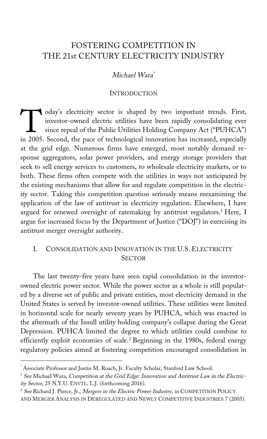# FOSTERING COMPETITION IN THE 21st CENTURY ELECTRICITY INDUSTRY

## Michael Wara\*

#### **INTRODUCTION**

oday's electricity sector is shaped by two important trends. First, investor-owned electric utilities have been rapidly consolidating ever since repeal of the Public Utilities Holding Company Act ("PUHCA") oday's electricity sector is shaped by two important trends. First,<br>investor-owned electric utilities have been rapidly consolidating ever<br>since repeal of the Public Utilities Holding Company Act ("PUHCA")<br>in 2005. Second, at the grid edge. Numerous firms have emerged, most notably demand response aggregators, solar power providers, and energy storage providers that seek to sell energy services to customers, to wholesale electricity markets, or to both. These firms often compete with the utilities in ways not anticipated by the existing mechanisms that allow for and regulate competition in the electricity sector. Taking this competition question seriously means reexamining the application of the law of antitrust in electricity regulation. Elsewhere, I have argued for renewed oversight of ratemaking by antitrust regulators.<sup>1</sup> Here, I argue for increased focus by the Department of Justice ("DOJ") in exercising its antitrust merger oversight authority.

## I. CONSOLIDATION AND INNOVATION IN THE U.S. ELECTRICITY **SECTOR**

The last twenty-five years have seen rapid consolidation in the investorowned electric power sector. While the power sector as a whole is still populated by a diverse set of public and private entities, most electricity demand in the United States is served by investor-owned utilities. These utilities were limited in horizontal scale for nearly seventy years by PUHCA, which was enacted in the aftermath of the Insull utility holding company's collapse during the Great Depression. PUHCA limited the degree to which utilities could combine to efficiently exploit economies of scale.2 Beginning in the 1980s, federal energy regulatory policies aimed at fostering competition encouraged consolidation in

<sup>\*</sup> Associate Professor and Justin M. Roach, Jr. Faculty Scholar, Stanford Law School.

 $1$  See Michael Wara, Competition at the Grid Edge: Innovation and Antitrust Law in the Electricity Sector, 25 N.Y.U. ENVTL. L.J. (forthcoming 2016).

<sup>&</sup>lt;sup>2</sup> See Richard J. Pierce, Jr., Mergers in the Electric Power Industry, in COMPETITION POLICY AND MERGER ANALYSIS IN DEREGULATED AND NEWLY COMPETITIVE INDUSTRIES 7 (2005).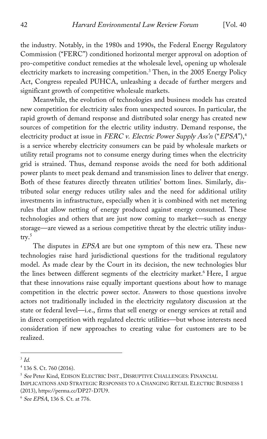the industry. Notably, in the 1980s and 1990s, the Federal Energy Regulatory Commission ("FERC") conditioned horizontal merger approval on adoption of pro-competitive conduct remedies at the wholesale level, opening up wholesale electricity markets to increasing competition.3 Then, in the 2005 Energy Policy Act, Congress repealed PUHCA, unleashing a decade of further mergers and significant growth of competitive wholesale markets.

Meanwhile, the evolution of technologies and business models has created new competition for electricity sales from unexpected sources. In particular, the rapid growth of demand response and distributed solar energy has created new sources of competition for the electric utility industry. Demand response, the electricity product at issue in FERC v. Electric Power Supply Ass'n ("EPSA"),<sup>4</sup> is a service whereby electricity consumers can be paid by wholesale markets or utility retail programs not to consume energy during times when the electricity grid is strained. Thus, demand response avoids the need for both additional power plants to meet peak demand and transmission lines to deliver that energy. Both of these features directly threaten utilities' bottom lines. Similarly, distributed solar energy reduces utility sales and the need for additional utility investments in infrastructure, especially when it is combined with net metering rules that allow netting of energy produced against energy consumed. These technologies and others that are just now coming to market—such as energy storage—are viewed as a serious competitive threat by the electric utility industry.<sup>5</sup>

The disputes in *EPSA* are but one symptom of this new era. These new technologies raise hard jurisdictional questions for the traditional regulatory model. As made clear by the Court in its decision, the new technologies blur the lines between different segments of the electricity market.<sup>6</sup> Here, I argue that these innovations raise equally important questions about how to manage competition in the electric power sector. Answers to those questions involve actors not traditionally included in the electricity regulatory discussion at the state or federal level—i.e., firms that sell energy or energy services at retail and in direct competition with regulated electric utilities—but whose interests need consideration if new approaches to creating value for customers are to be realized.

 $3$  Id.

<sup>4</sup> 136 S. Ct. 760 (2016).

<sup>&</sup>lt;sup>5</sup> See Peter Kind, EDISON ELECTRIC INST., DISRUPTIVE CHALLENGES: FINANCIAL IMPLICATIONS AND STRATEGIC RESPONSES TO A CHANGING RETAIL ELECTRIC BUSINESS 1 (2013), https://perma.cc/DP27-D7U9.

<sup>6</sup> See EPSA, 136 S. Ct. at 776.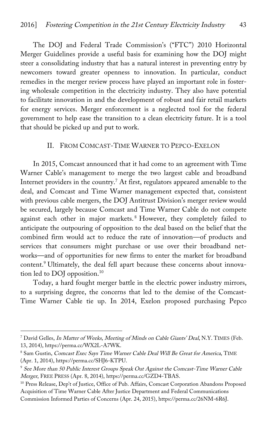The DOJ and Federal Trade Commission's ("FTC") 2010 Horizontal Merger Guidelines provide a useful basis for examining how the DOJ might steer a consolidating industry that has a natural interest in preventing entry by newcomers toward greater openness to innovation. In particular, conduct remedies in the merger review process have played an important role in fostering wholesale competition in the electricity industry. They also have potential to facilitate innovation in and the development of robust and fair retail markets for energy services. Merger enforcement is a neglected tool for the federal government to help ease the transition to a clean electricity future. It is a tool that should be picked up and put to work.

#### II. FROM COMCAST-TIME WARNER TO PEPCO-EXELON

In 2015, Comcast announced that it had come to an agreement with Time Warner Cable's management to merge the two largest cable and broadband Internet providers in the country.7 At first, regulators appeared amenable to the deal, and Comcast and Time Warner management expected that, consistent with previous cable mergers, the DOJ Antitrust Division's merger review would be secured, largely because Comcast and Time Warner Cable do not compete against each other in major markets. <sup>8</sup> However, they completely failed to anticipate the outpouring of opposition to the deal based on the belief that the combined firm would act to reduce the rate of innovation—of products and services that consumers might purchase or use over their broadband networks—and of opportunities for new firms to enter the market for broadband content.<sup>9</sup> Ultimately, the deal fell apart because these concerns about innovation led to DOJ opposition.10

Today, a hard fought merger battle in the electric power industry mirrors, to a surprising degree, the concerns that led to the demise of the Comcast-Time Warner Cable tie up. In 2014, Exelon proposed purchasing Pepco

<sup>&</sup>lt;sup>7</sup> David Gelles, In Matter of Weeks, Meeting of Minds on Cable Giants' Deal, N.Y. TIMES (Feb. 13, 2014), https://perma.cc/WX2L-A7WK.

<sup>&</sup>lt;sup>8</sup> Sam Gustin, Comcast Exec Says Time Warner Cable Deal Will Be Great for America, TIME (Apr. 1, 2014), https://perma.cc/SHJ6-KTPU.

<sup>9</sup> See More than 50 Public Interest Groups Speak Out Against the Comcast-Time Warner Cable Merger, FREE PRESS (Apr. 8, 2014), https://perma.cc/GZD4-TBAS.

<sup>&</sup>lt;sup>10</sup> Press Release, Dep't of Justice, Office of Pub. Affairs, Comcast Corporation Abandons Proposed Acquisition of Time Warner Cable After Justice Department and Federal Communications Commission Informed Parties of Concerns (Apr. 24, 2015), https://perma.cc/26NM-6R6J.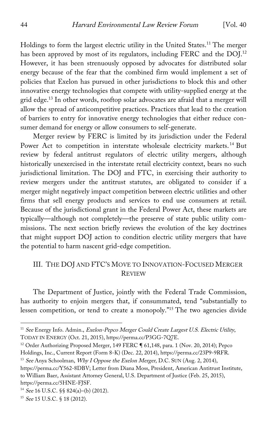Holdings to form the largest electric utility in the United States.<sup>11</sup> The merger has been approved by most of its regulators, including FERC and the DOJ.<sup>12</sup> However, it has been strenuously opposed by advocates for distributed solar energy because of the fear that the combined firm would implement a set of policies that Exelon has pursued in other jurisdictions to block this and other innovative energy technologies that compete with utility-supplied energy at the grid edge.13 In other words, rooftop solar advocates are afraid that a merger will allow the spread of anticompetitive practices. Practices that lead to the creation of barriers to entry for innovative energy technologies that either reduce consumer demand for energy or allow consumers to self-generate.

Merger review by FERC is limited by its jurisdiction under the Federal Power Act to competition in interstate wholesale electricity markets.<sup>14</sup> But review by federal antitrust regulators of electric utility mergers, although historically unexercised in the interstate retail electricity context, bears no such jurisdictional limitation. The DOJ and FTC, in exercising their authority to review mergers under the antitrust statutes, are obligated to consider if a merger might negatively impact competition between electric utilities and other firms that sell energy products and services to end use consumers at retail. Because of the jurisdictional grant in the Federal Power Act, these markets are typically—although not completely—the preserve of state public utility commissions. The next section briefly reviews the evolution of the key doctrines that might support DOJ action to condition electric utility mergers that have the potential to harm nascent grid-edge competition.

### III. THE DOJ AND FTC'S MOVE TO INNOVATION-FOCUSED MERGER **REVIEW**

The Department of Justice, jointly with the Federal Trade Commission, has authority to enjoin mergers that, if consummated, tend "substantially to lessen competition, or tend to create a monopoly."15 The two agencies divide

<sup>&</sup>lt;sup>11</sup> See Energy Info. Admin., Exelon-Pepco Merger Could Create Largest U.S. Electric Utility, TODAY IN ENERGY (Oct. 21, 2015), https://perma.cc/P3GG-7Q7E.

<sup>&</sup>lt;sup>12</sup> Order Authorizing Proposed Merger, 149 FERC ¶ 61,148, para. 1 (Nov. 20, 2014); Pepco Holdings, Inc., Current Report (Form 8-K) (Dec. 22, 2014), https://perma.cc/23P9-9RFR.

<sup>&</sup>lt;sup>13</sup> See Anya Schoolman, Why I Oppose the Exelon Merger, D.C. SUN (Aug. 2, 2014), https://perma.cc/Y562-8DBV; Letter from Diana Moss, President, American Antitrust Institute, to William Baer, Assistant Attorney General, U.S. Department of Justice (Feb. 25, 2015), https://perma.cc/5HNE-FJSF.

<sup>14</sup> See 16 U.S.C. §§ 824(a)–(b) (2012).

<sup>15</sup> See 15 U.S.C. § 18 (2012).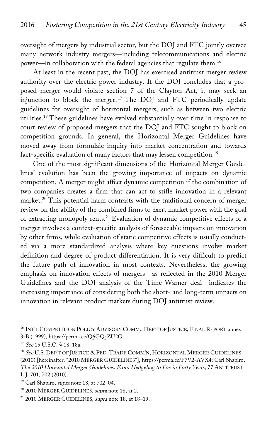oversight of mergers by industrial sector, but the DOJ and FTC jointly oversee many network industry mergers—including telecommunications and electric power—in collaboration with the federal agencies that regulate them.16

At least in the recent past, the DOJ has exercised antitrust merger review authority over the electric power industry. If the DOJ concludes that a proposed merger would violate section 7 of the Clayton Act, it may seek an injunction to block the merger. <sup>17</sup> The DOJ and FTC periodically update guidelines for oversight of horizontal mergers, such as between two electric utilities.18 These guidelines have evolved substantially over time in response to court review of proposed mergers that the DOJ and FTC sought to block on competition grounds. In general, the Horizontal Merger Guidelines have moved away from formulaic inquiry into market concentration and towards fact-specific evaluation of many factors that may lessen competition.<sup>19</sup>

One of the most significant dimensions of the Horizontal Merger Guidelines' evolution has been the growing importance of impacts on dynamic competition. A merger might affect dynamic competition if the combination of two companies creates a firm that can act to stifle innovation in a relevant market.<sup>20</sup> This potential harm contrasts with the traditional concern of merger review on the ability of the combined firms to exert market power with the goal of extracting monopoly rents.21 Evaluation of dynamic competitive effects of a merger involves a context-specific analysis of foreseeable impacts on innovation by other firms, while evaluation of static competitive effects is usually conducted via a more standardized analysis where key questions involve market definition and degree of product differentiation. It is very difficult to predict the future path of innovation in most contexts. Nevertheless, the growing emphasis on innovation effects of mergers—as reflected in the 2010 Merger Guidelines and the DOJ analysis of the Time-Warner deal—indicates the increasing importance of considering both the short- and long-term impacts on innovation in relevant product markets during DOJ antitrust review.

<sup>&</sup>lt;sup>16</sup> INT'L COMPETITION POLICY ADVISORY COMM., DEP'T OF JUSTICE, FINAL REPORT annex 3-B (1999), https://perma.cc/Q6GQ-ZU2G.

<sup>17</sup> See 15 U.S.C. § 18–18a.

<sup>&</sup>lt;sup>18</sup> See U.S. DEP'T OF JUSTICE & FED. TRADE COMM'N, HORIZONTAL MERGER GUIDELINES (2010) [hereinafter, "2010 MERGER GUIDELINES"], https://perma.cc/P7V2-AVX4; Carl Shapiro, The 2010 Horizontal Merger Guidelines: From Hedgehog to Fox in Forty Years, 77 ANTITRUST L.J. 701, 702 (2010).

<sup>&</sup>lt;sup>19</sup> Carl Shapiro, supra note 18, at 702-04.

<sup>&</sup>lt;sup>20</sup> 2010 MERGER GUIDELINES, supra note 18, at 2.

<sup>&</sup>lt;sup>21</sup> 2010 MERGER GUIDELINES, supra note 18, at 18-19.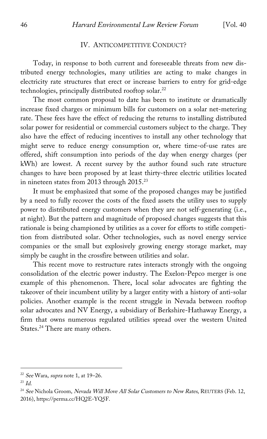#### IV. ANTICOMPETITIVE CONDUCT?

Today, in response to both current and foreseeable threats from new distributed energy technologies, many utilities are acting to make changes in electricity rate structures that erect or increase barriers to entry for grid-edge technologies, principally distributed rooftop solar.<sup>22</sup>

The most common proposal to date has been to institute or dramatically increase fixed charges or minimum bills for customers on a solar net-metering rate. These fees have the effect of reducing the returns to installing distributed solar power for residential or commercial customers subject to the charge. They also have the effect of reducing incentives to install any other technology that might serve to reduce energy consumption or, where time-of-use rates are offered, shift consumption into periods of the day when energy charges (per kWh) are lowest. A recent survey by the author found such rate structure changes to have been proposed by at least thirty-three electric utilities located in nineteen states from 2013 through  $2015.^{23}$ 

It must be emphasized that some of the proposed changes may be justified by a need to fully recover the costs of the fixed assets the utility uses to supply power to distributed energy customers when they are not self-generating (i.e., at night). But the pattern and magnitude of proposed changes suggests that this rationale is being championed by utilities as a cover for efforts to stifle competition from distributed solar. Other technologies, such as novel energy service companies or the small but explosively growing energy storage market, may simply be caught in the crossfire between utilities and solar.

This recent move to restructure rates interacts strongly with the ongoing consolidation of the electric power industry. The Exelon-Pepco merger is one example of this phenomenon. There, local solar advocates are fighting the takeover of their incumbent utility by a larger entity with a history of anti-solar policies. Another example is the recent struggle in Nevada between rooftop solar advocates and NV Energy, a subsidiary of Berkshire-Hathaway Energy, a firm that owns numerous regulated utilities spread over the western United States.<sup>24</sup> There are many others.

 $22$  See Wara, supra note 1, at 19-26.

 $^{23}$  *Id.* 

<sup>&</sup>lt;sup>24</sup> See Nichola Groom, Nevada Will Move All Solar Customers to New Rates, REUTERS (Feb. 12, 2016), https://perma.cc/HQ2E-YQ5F.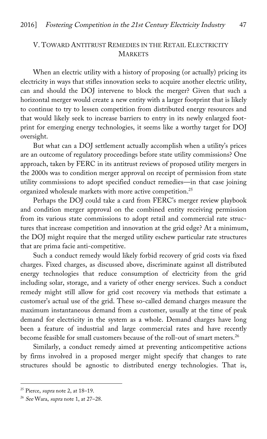## V. TOWARD ANTITRUST REMEDIES IN THE RETAIL ELECTRICITY **MARKETS**

When an electric utility with a history of proposing (or actually) pricing its electricity in ways that stifles innovation seeks to acquire another electric utility, can and should the DOJ intervene to block the merger? Given that such a horizontal merger would create a new entity with a larger footprint that is likely to continue to try to lessen competition from distributed energy resources and that would likely seek to increase barriers to entry in its newly enlarged footprint for emerging energy technologies, it seems like a worthy target for DOJ oversight.

But what can a DOJ settlement actually accomplish when a utility's prices are an outcome of regulatory proceedings before state utility commissions? One approach, taken by FERC in its antitrust reviews of proposed utility mergers in the 2000s was to condition merger approval on receipt of permission from state utility commissions to adopt specified conduct remedies—in that case joining organized wholesale markets with more active competition.25

Perhaps the DOJ could take a card from FERC's merger review playbook and condition merger approval on the combined entity receiving permission from its various state commissions to adopt retail and commercial rate structures that increase competition and innovation at the grid edge? At a minimum, the DOJ might require that the merged utility eschew particular rate structures that are prima facie anti-competitive.

Such a conduct remedy would likely forbid recovery of grid costs via fixed charges. Fixed charges, as discussed above, discriminate against all distributed energy technologies that reduce consumption of electricity from the grid including solar, storage, and a variety of other energy services. Such a conduct remedy might still allow for grid cost recovery via methods that estimate a customer's actual use of the grid. These so-called demand charges measure the maximum instantaneous demand from a customer, usually at the time of peak demand for electricity in the system as a whole. Demand charges have long been a feature of industrial and large commercial rates and have recently become feasible for small customers because of the roll-out of smart meters.<sup>26</sup>

Similarly, a conduct remedy aimed at preventing anticompetitive actions by firms involved in a proposed merger might specify that changes to rate structures should be agnostic to distributed energy technologies. That is,

<sup>&</sup>lt;sup>25</sup> Pierce, *supra* note 2, at 18-19.

 $26$  See Wara, supra note 1, at 27-28.